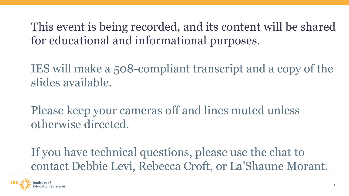This event is being recorded, and its content will be shared for educational and informational purposes.

IES will make a 508-compliant transcript and a copy of the slides available.

Please keep your cameras off and lines muted unless otherwise directed.

If you have technical questions, please use the chat to contact Debbie Levi, Rebecca Croft, or La'Shaune Morant.

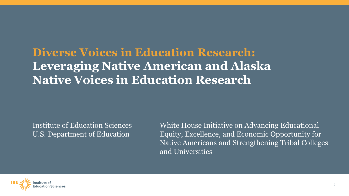## **Diverse Voices in Education Research: Leveraging Native American and Alaska Native Voices in Education Research**

Institute of Education Sciences U.S. Department of Education

White House Initiative on Advancing Educational Equity, Excellence, and Economic Opportunity for Native Americans and Strengthening Tribal Colleges and Universities

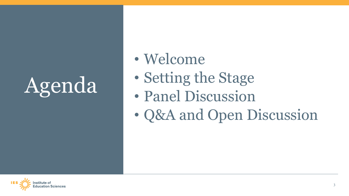# Agenda

- Welcome
- Setting the Stage
- Panel Discussion
- Q&A and Open Discussion

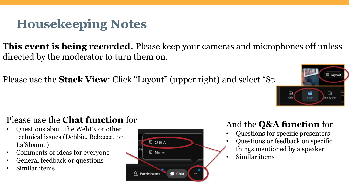## **Housekeeping Notes**

**This event is being recorded.** Please keep your cameras and microphones off unless directed by the moderator to turn them on.

Please use the **Stack View**: Click "Layout" (upper right) and select "Stack"



- Questions about the WebEx or other technical issues (Debbie, Rebecca, or La'Shaune)
- Comments or ideas for everyone
- General feedback or questions
- Similar items



## And the **Q&A function** for

 $\oplus$ 

Grid

₩

Stack

- Questions for specific presenters
- Questions or feedback on specific things mentioned by a speaker
- Similar items

**ED** Layout

 $\Box$ 

ide by side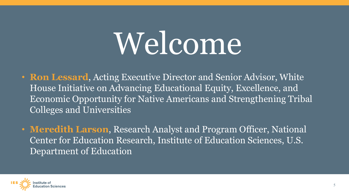# Welcome

- **Ron Lessard**, Acting Executive Director and Senior Advisor, White House Initiative on Advancing Educational Equity, Excellence, and Economic Opportunity for Native Americans and Strengthening Tribal Colleges and Universities
- **Meredith Larson**, Research Analyst and Program Officer, National Center for Education Research, Institute of Education Sciences, U.S. Department of Education

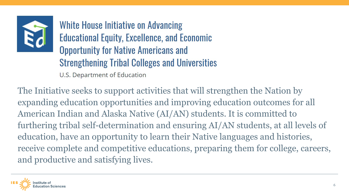

White House Initiative on Advancing **Educational Equity, Excellence, and Economic Opportunity for Native Americans and Strengthening Tribal Colleges and Universities** U.S. Department of Education

The Initiative seeks to support activities that will strengthen the Nation by expanding education opportunities and improving education outcomes for all American Indian and Alaska Native (AI/AN) students. It is committed to furthering tribal self-determination and ensuring AI/AN students, at all levels of education, have an opportunity to learn their Native languages and histories, receive complete and competitive educations, preparing them for college, careers, and productive and satisfying lives.

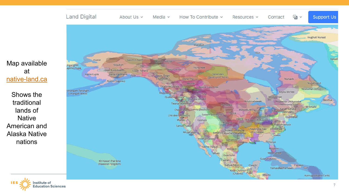### Map available at [native-land.ca](https://native-land.ca/)

Shows the traditional lands of **Native** American and Alaska Native nations



Internalism of Digital Mode of the diversion of Digital Mode of Media variety of Communities of Communities of Communities of Communities of Communities of Communities of Communities of Communities of Communities of Commun



 $\frac{1}{2}$   $\sqrt{ }$ 

**Support Us**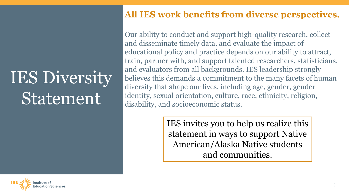## IES Diversity Statement

## **All IES work benefits from diverse perspectives.**

Our ability to conduct and support high-quality research, collect and disseminate timely data, and evaluate the impact of educational policy and practice depends on our ability to attract, train, partner with, and support talented researchers, statisticians, and evaluators from all backgrounds. IES leadership strongly believes this demands a commitment to the many facets of human diversity that shape our lives, including age, gender, gender identity, sexual orientation, culture, race, ethnicity, religion, disability, and socioeconomic status.

> IES invites you to help us realize this statement in ways to support Native American/Alaska Native students and communities.

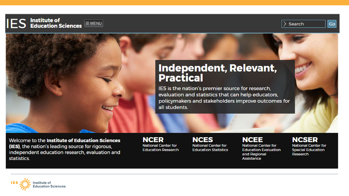

## Independent, Relevant, **Practical**

IES is the nation's premier source for research, evaluation and statistics that can help educators, policymakers and stakeholders improve outcomes for all students.

Velcome to the **Institute of Education Sciences**<br>
Institute of Education Sciences (IES), the nation's leading source for rigorous,<br>
Education Research Education Statistics Education Evaluation Special Education (IES), the nation's leading source for rigorous, statistics.

d Education Research Education

and Regional Assistance

 $\therefore$  Search

 $\overline{\text{Co}}$ 

Research

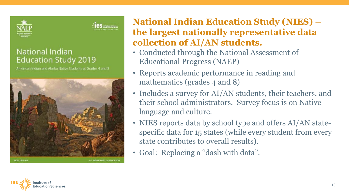

### **National Indian Education Study 2019**

American Indian and Alaska Native Students at Grades 4 and 8



**National Indian Education Study (NIES) –<br>the largest nationally representative data collection of AI/AN students.** 

- Conducted through the National Assessment of Educational Progress (NAEP)
- Reports academic performance in reading and mathematics (grades 4 and 8)
- Includes a survey for AI/AN students, their teachers, and their school administrators. Survey focus is on Native language and culture.
- NIES reports data by school type and offers AI/AN statespecific data for 15 states (while every student from every state contributes to overall results).
- Goal: Replacing a "dash with data".

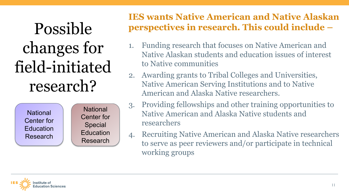Possible changes for field-initiated research?

> **National** Center for **Education** Research

**National** Center for Special **Education** Research

## **IES wants Native American and Native Alaskan perspectives in research. This could include –**

- 1. Funding research that focuses on Native American and Native Alaskan students and education issues of interest to Native communities
- 2. Awarding grants to Tribal Colleges and Universities, Native American Serving Institutions and to Native American and Alaska Native researchers.
- 3. Providing fellowships and other training opportunities to Native American and Alaska Native students and researchers
- 4. Recruiting Native American and Alaska Native researchers to serve as peer reviewers and/or participate in technical working groups

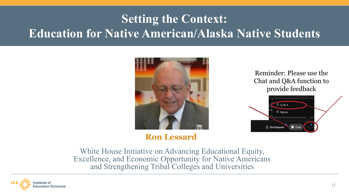## **Setting the Context: Education for Native American/Alaska Native Students**



## **Ron Lessard**

Reminder: Please use the Chat and Q&A function to provide feedback



White House Initiative on Advancing Educational Equity, Excellence, and Economic Opportunity for Native Americans and Strengthening Tribal Colleges and Universities

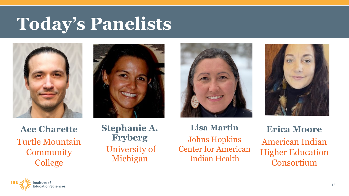## **Today's Panelists**









**Ace Charette**  Turtle Mountain **Community College** 

## **Stephanie A. Fryberg** University of Michigan

**Lisa Martin** Johns Hopkins Center for American Indian Health

**Erica Moore** American Indian Higher Education Consortium

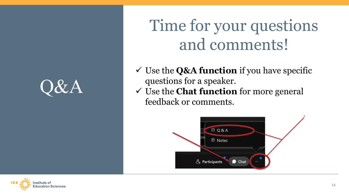

Time for your questions and comments!

- Use the **Q&A function** if you have specific questions for a speaker.
- Use the **Chat function** for more general feedback or comments.



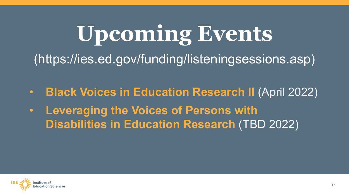# **Upcoming Events** (https://ies.ed.gov/funding/listeningsessions.asp)

- **Black Voices in Education Research II** (April 2022)
- **Leveraging the Voices of Persons with Disabilities in Education Research** (TBD 2022)